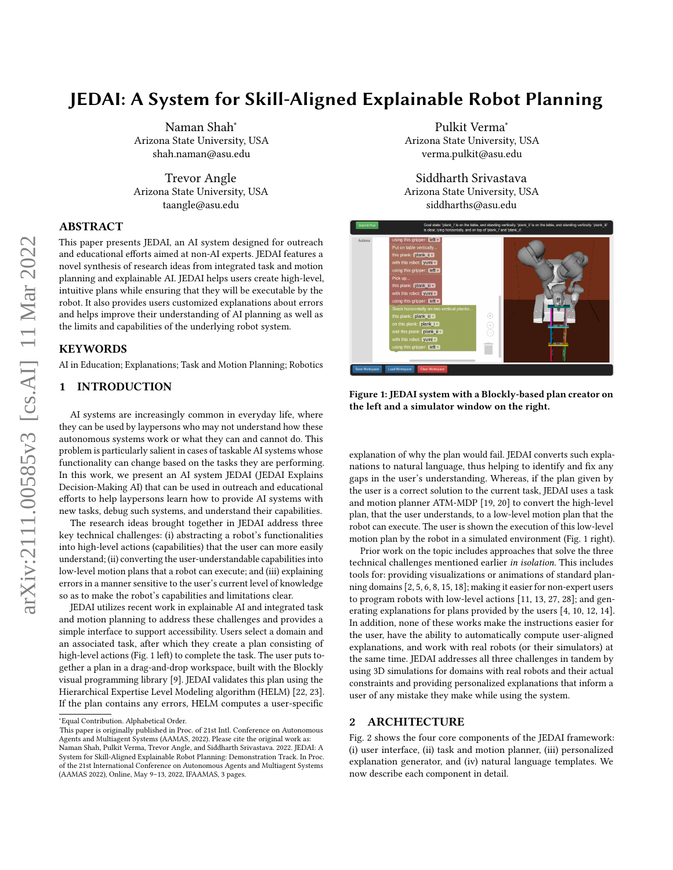# JEDAI: A System for Skill-Aligned Explainable Robot Planning

Naman Shah<sup>∗</sup> Arizona State University, USA shah.naman@asu.edu

Trevor Angle Arizona State University, USA taangle@asu.edu

## ABSTRACT

This paper presents JEDAI, an AI system designed for outreach and educational efforts aimed at non-AI experts. JEDAI features a novel synthesis of research ideas from integrated task and motion planning and explainable AI. JEDAI helps users create high-level, intuitive plans while ensuring that they will be executable by the robot. It also provides users customized explanations about errors and helps improve their understanding of AI planning as well as the limits and capabilities of the underlying robot system.

### KEYWORDS

AI in Education; Explanations; Task and Motion Planning; Robotics

# 1 INTRODUCTION

AI systems are increasingly common in everyday life, where they can be used by laypersons who may not understand how these autonomous systems work or what they can and cannot do. This problem is particularly salient in cases of taskable AI systems whose functionality can change based on the tasks they are performing. In this work, we present an AI system JEDAI (JEDAI Explains Decision-Making AI) that can be used in outreach and educational efforts to help laypersons learn how to provide AI systems with new tasks, debug such systems, and understand their capabilities.

The research ideas brought together in JEDAI address three key technical challenges: (i) abstracting a robot's functionalities into high-level actions (capabilities) that the user can more easily understand; (ii) converting the user-understandable capabilities into low-level motion plans that a robot can execute; and (iii) explaining errors in a manner sensitive to the user's current level of knowledge so as to make the robot's capabilities and limitations clear.

JEDAI utilizes recent work in explainable AI and integrated task and motion planning to address these challenges and provides a simple interface to support accessibility. Users select a domain and an associated task, after which they create a plan consisting of high-level actions (Fig. [1](#page-0-0) left) to complete the task. The user puts together a plan in a drag-and-drop workspace, built with the Blockly visual programming library [\[9\]](#page-2-0). JEDAI validates this plan using the Hierarchical Expertise Level Modeling algorithm (HELM) [\[22,](#page-2-1) [23\]](#page-2-2). If the plan contains any errors, HELM computes a user-specific

Pulkit Verma<sup>∗</sup> Arizona State University, USA verma.pulkit@asu.edu

Siddharth Srivastava Arizona State University, USA siddharths@asu.edu

<span id="page-0-0"></span>

Figure 1: JEDAI system with a Blockly-based plan creator on the left and a simulator window on the right.

explanation of why the plan would fail. JEDAI converts such explanations to natural language, thus helping to identify and fix any gaps in the user's understanding. Whereas, if the plan given by the user is a correct solution to the current task, JEDAI uses a task and motion planner ATM-MDP [\[19,](#page-2-3) [20\]](#page-2-4) to convert the high-level plan, that the user understands, to a low-level motion plan that the robot can execute. The user is shown the execution of this low-level motion plan by the robot in a simulated environment (Fig. [1](#page-0-0) right).

Prior work on the topic includes approaches that solve the three technical challenges mentioned earlier in isolation. This includes tools for: providing visualizations or animations of standard planning domains [\[2,](#page-1-0) [5,](#page-2-5) [6,](#page-2-6) [8,](#page-2-7) [15,](#page-2-8) [18\]](#page-2-9); making it easier for non-expert users to program robots with low-level actions [\[11,](#page-2-10) [13,](#page-2-11) [27,](#page-2-12) [28\]](#page-2-13); and generating explanations for plans provided by the users [\[4,](#page-2-14) [10,](#page-2-15) [12,](#page-2-16) [14\]](#page-2-17). In addition, none of these works make the instructions easier for the user, have the ability to automatically compute user-aligned explanations, and work with real robots (or their simulators) at the same time. JEDAI addresses all three challenges in tandem by using 3D simulations for domains with real robots and their actual constraints and providing personalized explanations that inform a user of any mistake they make while using the system.

## 2 ARCHITECTURE

Fig. [2](#page-1-1) shows the four core components of the JEDAI framework: (i) user interface, (ii) task and motion planner, (iii) personalized explanation generator, and (iv) natural language templates. We now describe each component in detail.

<sup>∗</sup>Equal Contribution. Alphabetical Order.

This paper is originally published in Proc. of 21st Intl. Conference on Autonomous Agents and Multiagent Systems (AAMAS, 2022). Please cite the original work as: Naman Shah, Pulkit Verma, Trevor Angle, and Siddharth Srivastava. 2022. JEDAI: A System for Skill-Aligned Explainable Robot Planning: Demonstration Track. In Proc. of the 21st International Conference on Autonomous Agents and Multiagent Systems (AAMAS 2022), Online, May 9–13, 2022, IFAAMAS, 3 pages.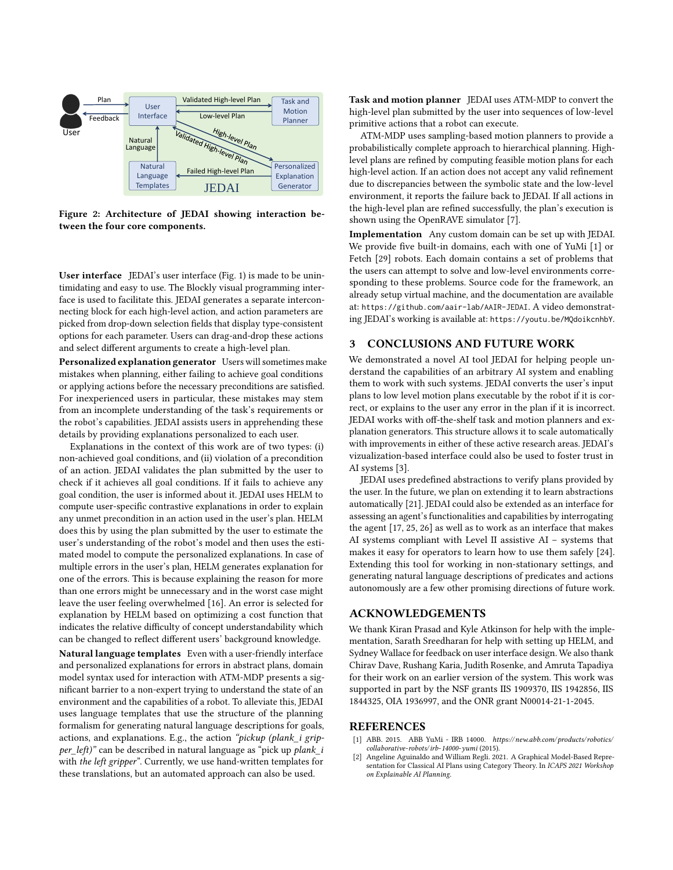<span id="page-1-1"></span>

Figure 2: Architecture of JEDAI showing interaction between the four core components.

User interface JEDAI's user interface (Fig. [1\)](#page-0-0) is made to be unintimidating and easy to use. The Blockly visual programming interface is used to facilitate this. JEDAI generates a separate interconnecting block for each high-level action, and action parameters are picked from drop-down selection fields that display type-consistent options for each parameter. Users can drag-and-drop these actions and select different arguments to create a high-level plan.

Personalized explanation generator Users will sometimes make mistakes when planning, either failing to achieve goal conditions or applying actions before the necessary preconditions are satisfied. For inexperienced users in particular, these mistakes may stem from an incomplete understanding of the task's requirements or the robot's capabilities. JEDAI assists users in apprehending these details by providing explanations personalized to each user.

Explanations in the context of this work are of two types: (i) non-achieved goal conditions, and (ii) violation of a precondition of an action. JEDAI validates the plan submitted by the user to check if it achieves all goal conditions. If it fails to achieve any goal condition, the user is informed about it. JEDAI uses HELM to compute user-specific contrastive explanations in order to explain any unmet precondition in an action used in the user's plan. HELM does this by using the plan submitted by the user to estimate the user's understanding of the robot's model and then uses the estimated model to compute the personalized explanations. In case of multiple errors in the user's plan, HELM generates explanation for one of the errors. This is because explaining the reason for more than one errors might be unnecessary and in the worst case might leave the user feeling overwhelmed [\[16\]](#page-2-18). An error is selected for explanation by HELM based on optimizing a cost function that indicates the relative difficulty of concept understandability which can be changed to reflect different users' background knowledge.

Natural language templates Even with a user-friendly interface and personalized explanations for errors in abstract plans, domain model syntax used for interaction with ATM-MDP presents a significant barrier to a non-expert trying to understand the state of an environment and the capabilities of a robot. To alleviate this, JEDAI uses language templates that use the structure of the planning formalism for generating natural language descriptions for goals, actions, and explanations. E.g., the action "pickup (plank\_i gripper\_left)" can be described in natural language as "pick up plank\_i with the left gripper". Currently, we use hand-written templates for these translations, but an automated approach can also be used.

Task and motion planner JEDAI uses ATM-MDP to convert the high-level plan submitted by the user into sequences of low-level primitive actions that a robot can execute.

ATM-MDP uses sampling-based motion planners to provide a probabilistically complete approach to hierarchical planning. Highlevel plans are refined by computing feasible motion plans for each high-level action. If an action does not accept any valid refinement due to discrepancies between the symbolic state and the low-level environment, it reports the failure back to JEDAI. If all actions in the high-level plan are refined successfully, the plan's execution is shown using the OpenRAVE simulator [\[7\]](#page-2-19).

Implementation Any custom domain can be set up with JEDAI. We provide five built-in domains, each with one of YuMi [\[1\]](#page-1-2) or Fetch [\[29\]](#page-2-20) robots. Each domain contains a set of problems that the users can attempt to solve and low-level environments corresponding to these problems. Source code for the framework, an already setup virtual machine, and the documentation are available at: <https://github.com/aair-lab/AAIR-JEDAI>. A video demonstrating JEDAI's working is available at: <https://youtu.be/MQdoikcnhbY>.

## 3 CONCLUSIONS AND FUTURE WORK

We demonstrated a novel AI tool JEDAI for helping people understand the capabilities of an arbitrary AI system and enabling them to work with such systems. JEDAI converts the user's input plans to low level motion plans executable by the robot if it is correct, or explains to the user any error in the plan if it is incorrect. JEDAI works with off-the-shelf task and motion planners and explanation generators. This structure allows it to scale automatically with improvements in either of these active research areas. JEDAI's vizualization-based interface could also be used to foster trust in AI systems [\[3\]](#page-2-21).

JEDAI uses predefined abstractions to verify plans provided by the user. In the future, we plan on extending it to learn abstractions automatically [\[21\]](#page-2-22). JEDAI could also be extended as an interface for assessing an agent's functionalities and capabilities by interrogating the agent [\[17,](#page-2-23) [25,](#page-2-24) [26\]](#page-2-25) as well as to work as an interface that makes AI systems compliant with Level II assistive AI – systems that makes it easy for operators to learn how to use them safely [\[24\]](#page-2-26). Extending this tool for working in non-stationary settings, and generating natural language descriptions of predicates and actions autonomously are a few other promising directions of future work.

# ACKNOWLEDGEMENTS

We thank Kiran Prasad and Kyle Atkinson for help with the implementation, Sarath Sreedharan for help with setting up HELM, and Sydney Wallace for feedback on user interface design. We also thank Chirav Dave, Rushang Karia, Judith Rosenke, and Amruta Tapadiya for their work on an earlier version of the system. This work was supported in part by the NSF grants IIS 1909370, IIS 1942856, IIS 1844325, OIA 1936997, and the ONR grant N00014-21-1-2045.

#### REFERENCES

- <span id="page-1-2"></span>[1] ABB. 2015. ABB YuMi - IRB 14000. [https:// new.abb.com/products/ robotics/](https://new.abb.com/products/robotics/collaborative-robots/irb-14000-yumi) [collaborative-robots/irb-14000-yumi](https://new.abb.com/products/robotics/collaborative-robots/irb-14000-yumi) (2015).
- <span id="page-1-0"></span>[2] Angeline Aguinaldo and William Regli. 2021. A Graphical Model-Based Representation for Classical AI Plans using Category Theory. In ICAPS 2021 Workshop on Explainable AI Planning.